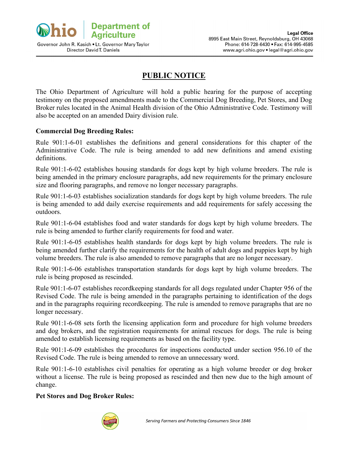

Governor John R. Kasich . Lt. Governor Mary Taylor Director David T. Daniels

## **PUBLIC NOTICE**

The Ohio Department of Agriculture will hold a public hearing for the purpose of accepting testimony on the proposed amendments made to the Commercial Dog Breeding, Pet Stores, and Dog Broker rules located in the Animal Health division of the Ohio Administrative Code. Testimony will also be accepted on an amended Dairy division rule.

## **Commercial Dog Breeding Rules:**

Rule 901:1-6-01 establishes the definitions and general considerations for this chapter of the Administrative Code. The rule is being amended to add new definitions and amend existing definitions.

Rule 901:1-6-02 establishes housing standards for dogs kept by high volume breeders. The rule is being amended in the primary enclosure paragraphs, add new requirements for the primary enclosure size and flooring paragraphs, and remove no longer necessary paragraphs.

Rule 901:1-6-03 establishes socialization standards for dogs kept by high volume breeders. The rule is being amended to add daily exercise requirements and add requirements for safely accessing the outdoors.

Rule 901:1-6-04 establishes food and water standards for dogs kept by high volume breeders. The rule is being amended to further clarify requirements for food and water.

Rule 901:1-6-05 establishes health standards for dogs kept by high volume breeders. The rule is being amended further clarify the requirements for the health of adult dogs and puppies kept by high volume breeders. The rule is also amended to remove paragraphs that are no longer necessary.

Rule 901:1-6-06 establishes transportation standards for dogs kept by high volume breeders. The rule is being proposed as rescinded.

Rule 901:1-6-07 establishes recordkeeping standards for all dogs regulated under Chapter 956 of the Revised Code. The rule is being amended in the paragraphs pertaining to identification of the dogs and in the paragraphs requiring recordkeeping. The rule is amended to remove paragraphs that are no longer necessary.

Rule 901:1-6-08 sets forth the licensing application form and procedure for high volume breeders and dog brokers, and the registration requirements for animal rescues for dogs. The rule is being amended to establish licensing requirements as based on the facility type.

Rule 901:1-6-09 establishes the procedures for inspections conducted under section 956.10 of the Revised Code. The rule is being amended to remove an unnecessary word.

Rule 901:1-6-10 establishes civil penalties for operating as a high volume breeder or dog broker without a license. The rule is being proposed as rescinded and then new due to the high amount of change.

## **Pet Stores and Dog Broker Rules:**

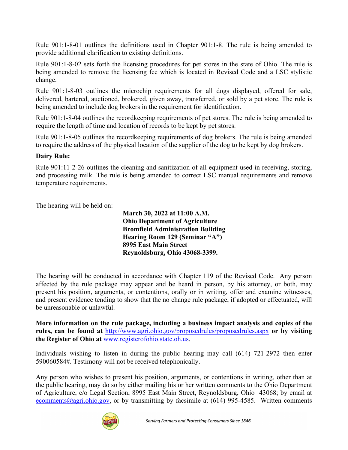Rule 901:1-8-01 outlines the definitions used in Chapter 901:1-8. The rule is being amended to provide additional clarification to existing definitions.

Rule 901:1-8-02 sets forth the licensing procedures for pet stores in the state of Ohio. The rule is being amended to remove the licensing fee which is located in Revised Code and a LSC stylistic change.

Rule 901:1-8-03 outlines the microchip requirements for all dogs displayed, offered for sale, delivered, bartered, auctioned, brokered, given away, transferred, or sold by a pet store. The rule is being amended to include dog brokers in the requirement for identification.

Rule 901:1-8-04 outlines the recordkeeping requirements of pet stores. The rule is being amended to require the length of time and location of records to be kept by pet stores.

Rule 901:1-8-05 outlines the recordkeeping requirements of dog brokers. The rule is being amended to require the address of the physical location of the supplier of the dog to be kept by dog brokers.

## **Dairy Rule:**

Rule 901:11-2-26 outlines the cleaning and sanitization of all equipment used in receiving, storing, and processing milk. The rule is being amended to correct LSC manual requirements and remove temperature requirements.

The hearing will be held on:

**March 30, 2022 at 11:00 A.M. Ohio Department of Agriculture Bromfield Administration Building Hearing Room 129 (Seminar "A") 8995 East Main Street Reynoldsburg, Ohio 43068-3399.**

The hearing will be conducted in accordance with Chapter 119 of the Revised Code. Any person affected by the rule package may appear and be heard in person, by his attorney, or both, may present his position, arguments, or contentions, orally or in writing, offer and examine witnesses, and present evidence tending to show that the no change rule package, if adopted or effectuated, will be unreasonable or unlawful.

**More information on the rule package, including a business impact analysis and copies of the rules, can be found at** <http://www.agri.ohio.gov/proposedrules/proposedrules.aspx> **or by visiting the Register of Ohio at** [www.registerofohio.state.oh.us.](http://www.registerofohio.state.oh.us/)

Individuals wishing to listen in during the public hearing may call (614) 721-2972 then enter 590060584#. Testimony will not be received telephonically.

Any person who wishes to present his position, arguments, or contentions in writing, other than at the public hearing, may do so by either mailing his or her written comments to the Ohio Department of Agriculture, c/o Legal Section, 8995 East Main Street, Reynoldsburg, Ohio 43068; by email at [ecomments@agri.ohio.gov,](mailto:ecomments@agri.ohio.gov) or by transmitting by facsimile at  $(614)$  995-4585. Written comments